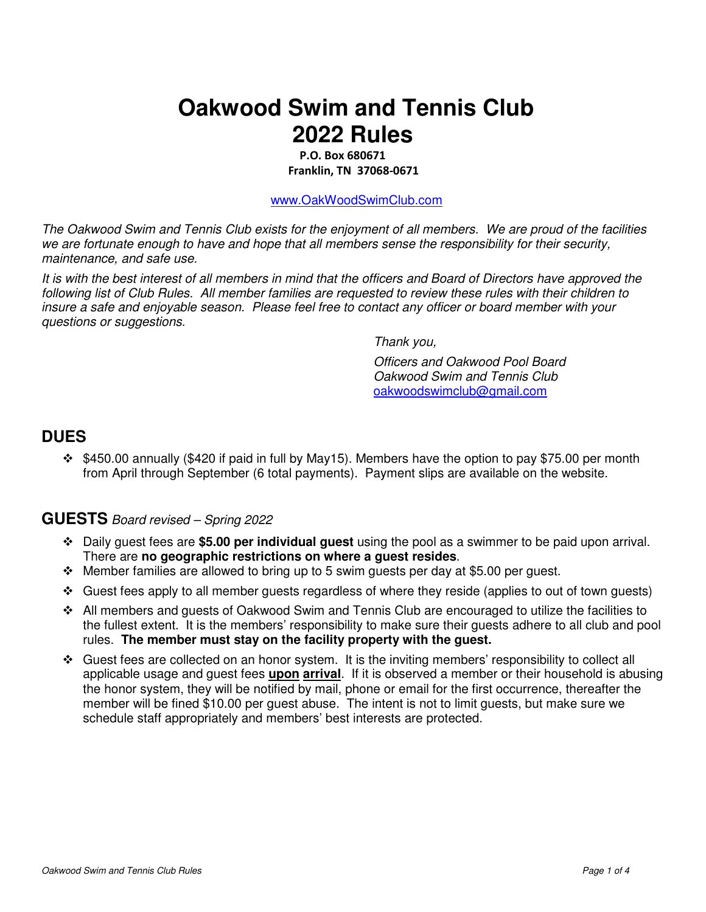# **Oakwood Swim and Tennis Club 2022 Rules**

 **P.O. Box 680671 Franklin, TN 37068-0671** 

www.OakWoodSwimClub.com

The Oakwood Swim and Tennis Club exists for the enjoyment of all members. We are proud of the facilities we are fortunate enough to have and hope that all members sense the responsibility for their security, maintenance, and safe use.

It is with the best interest of all members in mind that the officers and Board of Directors have approved the following list of Club Rules. All member families are requested to review these rules with their children to insure a safe and enjoyable season. Please feel free to contact any officer or board member with your questions or suggestions.

Thank you,

Officers and Oakwood Pool Board Oakwood Swim and Tennis Club oakwoodswimclub@gmail.com

#### **DUES**

 $\div$  \$450.00 annually (\$420 if paid in full by May15). Members have the option to pay \$75.00 per month from April through September (6 total payments). Payment slips are available on the website.

#### **GUESTS** Board revised – Spring 2022

- Daily guest fees are **\$5.00 per individual guest** using the pool as a swimmer to be paid upon arrival. There are **no geographic restrictions on where a guest resides**.
- $\div$  Member families are allowed to bring up to 5 swim guests per day at \$5.00 per guest.
- Guest fees apply to all member guests regardless of where they reside (applies to out of town guests)
- All members and guests of Oakwood Swim and Tennis Club are encouraged to utilize the facilities to the fullest extent. It is the members' responsibility to make sure their guests adhere to all club and pool rules. **The member must stay on the facility property with the guest.**
- $\div$  Guest fees are collected on an honor system. It is the inviting members' responsibility to collect all applicable usage and guest fees **upon arrival**. If it is observed a member or their household is abusing the honor system, they will be notified by mail, phone or email for the first occurrence, thereafter the member will be fined \$10.00 per guest abuse. The intent is not to limit guests, but make sure we schedule staff appropriately and members' best interests are protected.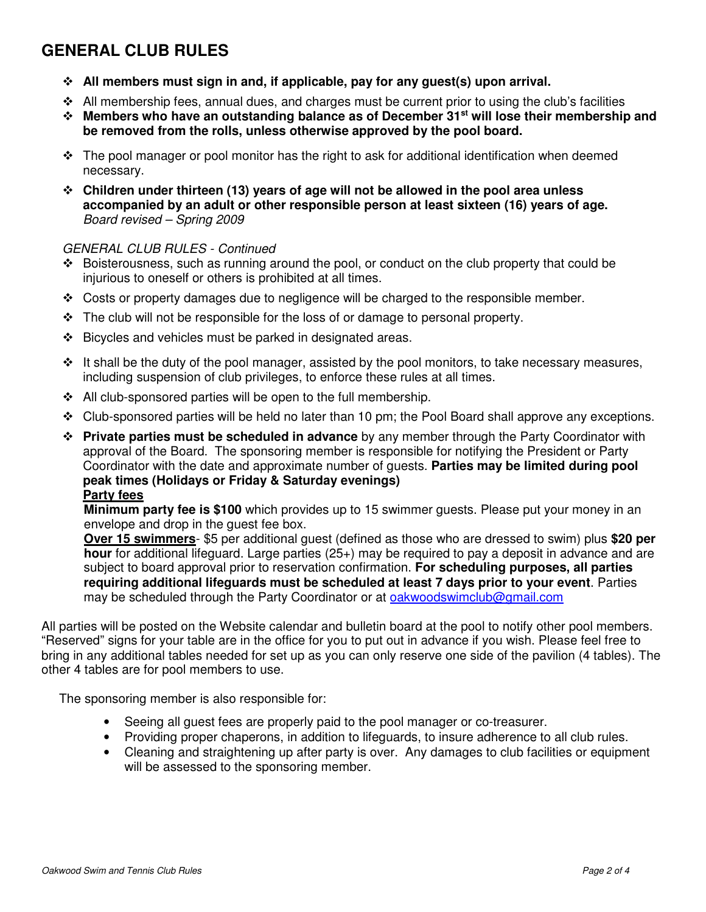### **GENERAL CLUB RULES**

- **All members must sign in and, if applicable, pay for any guest(s) upon arrival.**
- $\div$  All membership fees, annual dues, and charges must be current prior to using the club's facilities
- **Members who have an outstanding balance as of December 31st will lose their membership and be removed from the rolls, unless otherwise approved by the pool board.**
- $\div$  The pool manager or pool monitor has the right to ask for additional identification when deemed necessary.
- **Children under thirteen (13) years of age will not be allowed in the pool area unless accompanied by an adult or other responsible person at least sixteen (16) years of age.** Board revised – Spring 2009

#### GENERAL CLUB RULES - Continued

- $\div$  Boisterousness, such as running around the pool, or conduct on the club property that could be injurious to oneself or others is prohibited at all times.
- $\div$  Costs or property damages due to negligence will be charged to the responsible member.
- $\div$  The club will not be responsible for the loss of or damage to personal property.
- Bicycles and vehicles must be parked in designated areas.
- $\div$  It shall be the duty of the pool manager, assisted by the pool monitors, to take necessary measures, including suspension of club privileges, to enforce these rules at all times.
- $\div$  All club-sponsored parties will be open to the full membership.
- $\div$  Club-sponsored parties will be held no later than 10 pm; the Pool Board shall approve any exceptions.
- **Private parties must be scheduled in advance** by any member through the Party Coordinator with approval of the Board. The sponsoring member is responsible for notifying the President or Party Coordinator with the date and approximate number of guests. **Parties may be limited during pool peak times (Holidays or Friday & Saturday evenings) Party fees**

 **Minimum party fee is \$100** which provides up to 15 swimmer guests. Please put your money in an envelope and drop in the guest fee box.

 **Over 15 swimmers**- \$5 per additional guest (defined as those who are dressed to swim) plus **\$20 per hour** for additional lifeguard. Large parties (25+) may be required to pay a deposit in advance and are subject to board approval prior to reservation confirmation. **For scheduling purposes, all parties requiring additional lifeguards must be scheduled at least 7 days prior to your event**. Parties may be scheduled through the Party Coordinator or at oakwoodswimclub@gmail.com

All parties will be posted on the Website calendar and bulletin board at the pool to notify other pool members. "Reserved" signs for your table are in the office for you to put out in advance if you wish. Please feel free to bring in any additional tables needed for set up as you can only reserve one side of the pavilion (4 tables). The other 4 tables are for pool members to use.

The sponsoring member is also responsible for:

- Seeing all guest fees are properly paid to the pool manager or co-treasurer.
- Providing proper chaperons, in addition to lifeguards, to insure adherence to all club rules.
- Cleaning and straightening up after party is over. Any damages to club facilities or equipment will be assessed to the sponsoring member.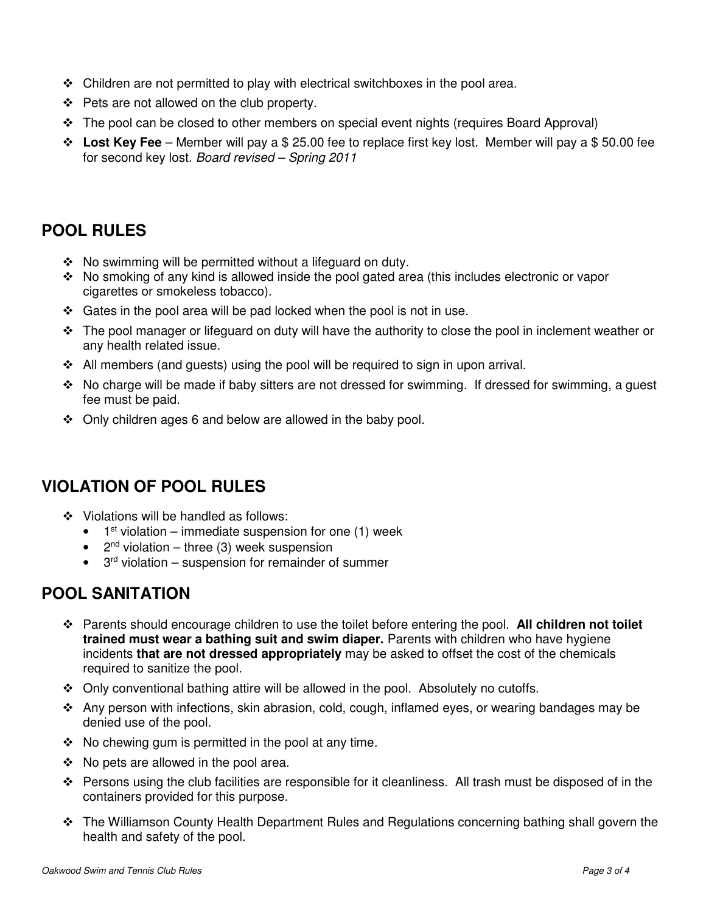- $\div$  Children are not permitted to play with electrical switchboxes in the pool area.
- ❖ Pets are not allowed on the club property.
- $\div$  The pool can be closed to other members on special event nights (requires Board Approval)
- **Lost Key Fee** Member will pay a \$ 25.00 fee to replace first key lost. Member will pay a \$ 50.00 fee for second key lost. Board revised – Spring 2011

#### **POOL RULES**

- $\div$  No swimming will be permitted without a lifeguard on duty.
- $\cdot \cdot$  No smoking of any kind is allowed inside the pool gated area (this includes electronic or vapor cigarettes or smokeless tobacco).
- $\div$  Gates in the pool area will be pad locked when the pool is not in use.
- $\div$  The pool manager or lifeguard on duty will have the authority to close the pool in inclement weather or any health related issue.
- $\div$  All members (and guests) using the pool will be required to sign in upon arrival.
- $\div$  No charge will be made if baby sitters are not dressed for swimming. If dressed for swimming, a quest fee must be paid.
- $\div$  Only children ages 6 and below are allowed in the baby pool.

### **VIOLATION OF POOL RULES**

- Violations will be handled as follows:
	- $\bullet$  1<sup>st</sup> violation immediate suspension for one (1) week
	- $2<sup>nd</sup>$  violation three (3) week suspension
	- $\bullet$  3<sup>rd</sup> violation suspension for remainder of summer

#### **POOL SANITATION**

- Parents should encourage children to use the toilet before entering the pool. **All children not toilet trained must wear a bathing suit and swim diaper.** Parents with children who have hygiene incidents **that are not dressed appropriately** may be asked to offset the cost of the chemicals required to sanitize the pool.
- $\div$  Only conventional bathing attire will be allowed in the pool. Absolutely no cutoffs.
- $\div$  Any person with infections, skin abrasion, cold, cough, inflamed eyes, or wearing bandages may be denied use of the pool.
- $\div$  No chewing gum is permitted in the pool at any time.
- $\div$  No pets are allowed in the pool area.
- \* Persons using the club facilities are responsible for it cleanliness. All trash must be disposed of in the containers provided for this purpose.
- The Williamson County Health Department Rules and Regulations concerning bathing shall govern the health and safety of the pool.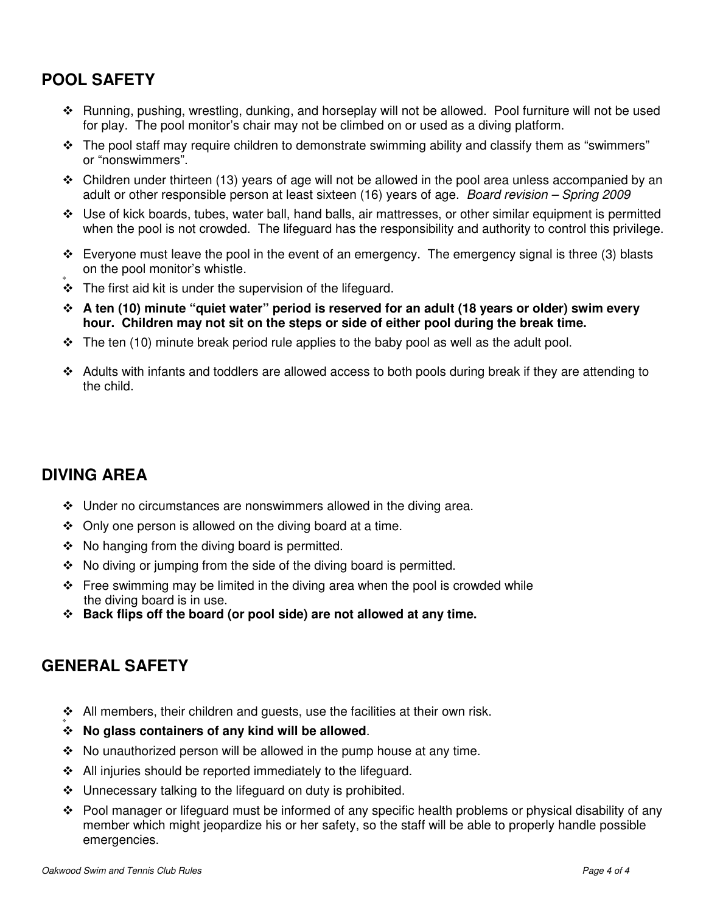### **POOL SAFETY**

- Running, pushing, wrestling, dunking, and horseplay will not be allowed. Pool furniture will not be used for play. The pool monitor's chair may not be climbed on or used as a diving platform.
- \* The pool staff may require children to demonstrate swimming ability and classify them as "swimmers" or "nonswimmers".
- Children under thirteen (13) years of age will not be allowed in the pool area unless accompanied by an adult or other responsible person at least sixteen (16) years of age. Board revision – Spring 2009
- Use of kick boards, tubes, water ball, hand balls, air mattresses, or other similar equipment is permitted when the pool is not crowded. The lifeguard has the responsibility and authority to control this privilege.
- $\div$  Everyone must leave the pool in the event of an emergency. The emergency signal is three (3) blasts on the pool monitor's whistle.
- ۰  $\div$  The first aid kit is under the supervision of the lifeguard.
- **A ten (10) minute "quiet water" period is reserved for an adult (18 years or older) swim every hour. Children may not sit on the steps or side of either pool during the break time.**
- \* The ten (10) minute break period rule applies to the baby pool as well as the adult pool.
- $\div$  Adults with infants and toddlers are allowed access to both pools during break if they are attending to the child.

### **DIVING AREA**

- ◆ Under no circumstances are nonswimmers allowed in the diving area.
- $\div$  Only one person is allowed on the diving board at a time.
- $\div$  No hanging from the diving board is permitted.
- $\cdot$  No diving or jumping from the side of the diving board is permitted.
- $\div$  Free swimming may be limited in the diving area when the pool is crowded while the diving board is in use.
- **Back flips off the board (or pool side) are not allowed at any time.**

#### **GENERAL SAFETY**

- $\triangleleft$  All members, their children and guests, use the facilities at their own risk. ۰
- **No glass containers of any kind will be allowed**.
- $\cdot$  No unauthorized person will be allowed in the pump house at any time.
- $\div$  All injuries should be reported immediately to the lifeguard.
- ❖ Unnecessary talking to the lifeguard on duty is prohibited.
- $\div$  Pool manager or lifeguard must be informed of any specific health problems or physical disability of any member which might jeopardize his or her safety, so the staff will be able to properly handle possible emergencies.